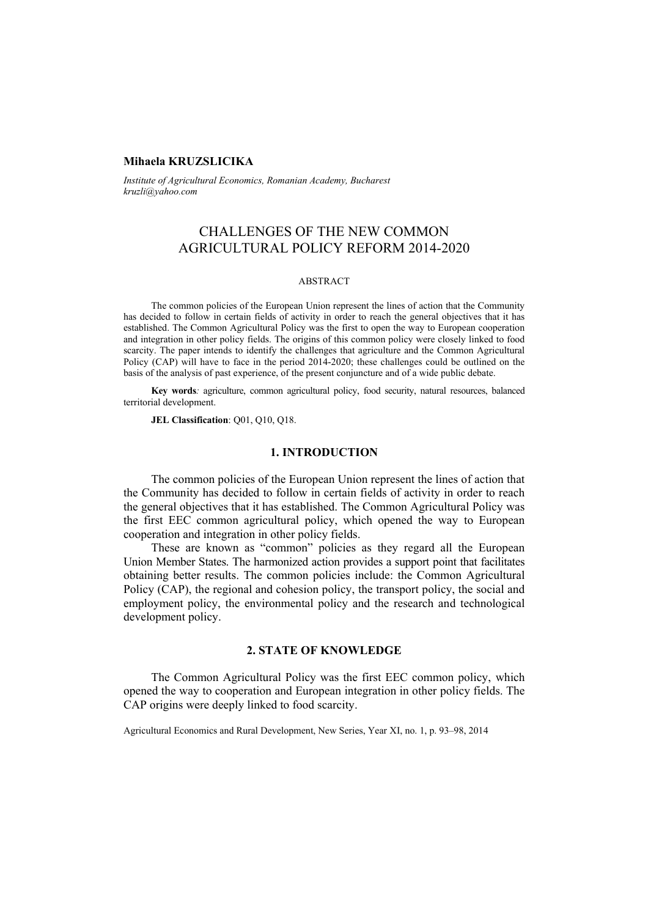## **Mihaela KRUZSLICIKA**

*Institute of Agricultural Economics, Romanian Academy, Bucharest kruzli@yahoo.com* 

# CHALLENGES OF THE NEW COMMON AGRICULTURAL POLICY REFORM 2014-2020

#### ABSTRACT

The common policies of the European Union represent the lines of action that the Community has decided to follow in certain fields of activity in order to reach the general objectives that it has established. The Common Agricultural Policy was the first to open the way to European cooperation and integration in other policy fields. The origins of this common policy were closely linked to food scarcity. The paper intends to identify the challenges that agriculture and the Common Agricultural Policy (CAP) will have to face in the period 2014-2020; these challenges could be outlined on the basis of the analysis of past experience, of the present conjuncture and of a wide public debate.

**Key words***:* agriculture, common agricultural policy, food security, natural resources, balanced territorial development.

**JEL Classification**: Q01, Q10, Q18.

### **1. INTRODUCTION**

The common policies of the European Union represent the lines of action that the Community has decided to follow in certain fields of activity in order to reach the general objectives that it has established. The Common Agricultural Policy was the first EEC common agricultural policy, which opened the way to European cooperation and integration in other policy fields.

These are known as "common" policies as they regard all the European Union Member States. The harmonized action provides a support point that facilitates obtaining better results. The common policies include: the Common Agricultural Policy (CAP), the regional and cohesion policy, the transport policy, the social and employment policy, the environmental policy and the research and technological development policy.

## **2. STATE OF KNOWLEDGE**

The Common Agricultural Policy was the first EEC common policy, which opened the way to cooperation and European integration in other policy fields. The CAP origins were deeply linked to food scarcity.

Agricultural Economics and Rural Development, New Series, Year XI, no. 1, p. 93–98, 2014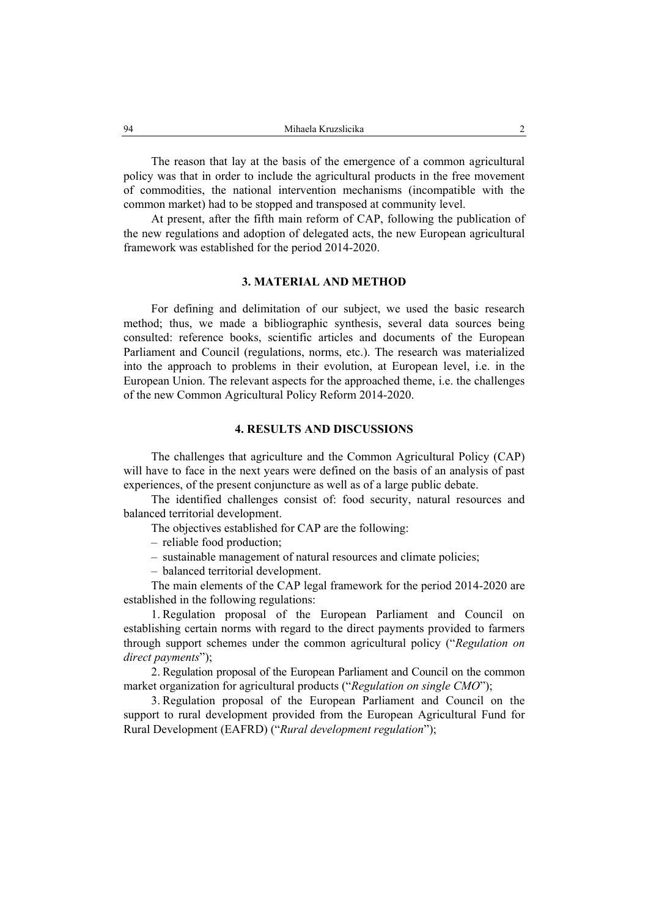The reason that lay at the basis of the emergence of a common agricultural policy was that in order to include the agricultural products in the free movement of commodities, the national intervention mechanisms (incompatible with the common market) had to be stopped and transposed at community level.

At present, after the fifth main reform of CAP, following the publication of the new regulations and adoption of delegated acts, the new European agricultural framework was established for the period 2014-2020.

## **3. MATERIAL AND METHOD**

For defining and delimitation of our subject, we used the basic research method; thus, we made a bibliographic synthesis, several data sources being consulted: reference books, scientific articles and documents of the European Parliament and Council (regulations, norms, etc.). The research was materialized into the approach to problems in their evolution, at European level, i.e. in the European Union. The relevant aspects for the approached theme, i.e. the challenges of the new Common Agricultural Policy Reform 2014-2020.

## **4. RESULTS AND DISCUSSIONS**

The challenges that agriculture and the Common Agricultural Policy (CAP) will have to face in the next years were defined on the basis of an analysis of past experiences, of the present conjuncture as well as of a large public debate.

The identified challenges consist of: food security, natural resources and balanced territorial development.

- The objectives established for CAP are the following:
- reliable food production;
- sustainable management of natural resources and climate policies;
- balanced territorial development.

The main elements of the CAP legal framework for the period 2014-2020 are established in the following regulations:

1. Regulation proposal of the European Parliament and Council on establishing certain norms with regard to the direct payments provided to farmers through support schemes under the common agricultural policy ("*Regulation on direct payments*");

2. Regulation proposal of the European Parliament and Council on the common market organization for agricultural products ("*Regulation on single CMO*");

3. Regulation proposal of the European Parliament and Council on the support to rural development provided from the European Agricultural Fund for Rural Development (EAFRD) ("*Rural development regulation*");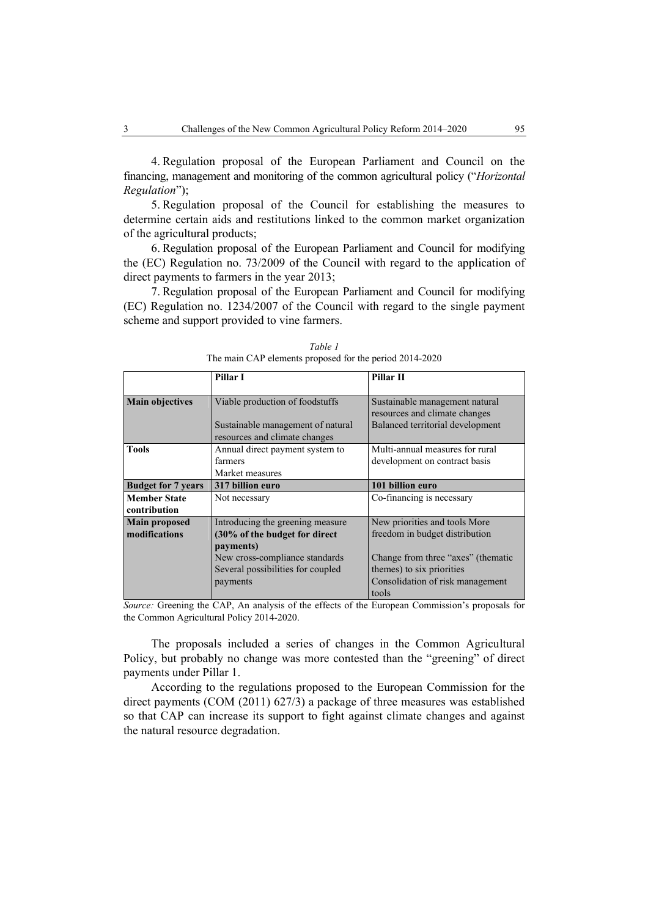4. Regulation proposal of the European Parliament and Council on the financing, management and monitoring of the common agricultural policy ("*Horizontal Regulation*");

5. Regulation proposal of the Council for establishing the measures to determine certain aids and restitutions linked to the common market organization of the agricultural products;

6. Regulation proposal of the European Parliament and Council for modifying the (EC) Regulation no. 73/2009 of the Council with regard to the application of direct payments to farmers in the year 2013;

7. Regulation proposal of the European Parliament and Council for modifying (EC) Regulation no. 1234/2007 of the Council with regard to the single payment scheme and support provided to vine farmers.

|                           | Pillar I                                                           | Pillar II                                                       |
|---------------------------|--------------------------------------------------------------------|-----------------------------------------------------------------|
|                           |                                                                    |                                                                 |
| <b>Main objectives</b>    | Viable production of foodstuffs                                    | Sustainable management natural<br>resources and climate changes |
|                           | Sustainable management of natural<br>resources and climate changes | Balanced territorial development                                |
| <b>Tools</b>              | Annual direct payment system to                                    | Multi-annual measures for rural                                 |
|                           | farmers                                                            | development on contract basis                                   |
|                           | Market measures                                                    |                                                                 |
| <b>Budget for 7 years</b> | 317 billion euro                                                   | 101 billion euro                                                |
| <b>Member State</b>       | Not necessary                                                      | Co-financing is necessary                                       |
| contribution              |                                                                    |                                                                 |
| <b>Main proposed</b>      | Introducing the greening measure.                                  | New priorities and tools More                                   |
| modifications             | (30% of the budget for direct                                      | freedom in budget distribution                                  |
|                           | payments)                                                          |                                                                 |
|                           | New cross-compliance standards                                     | Change from three "axes" (thematic                              |
|                           | Several possibilities for coupled                                  | themes) to six priorities                                       |
|                           | payments                                                           | Consolidation of risk management                                |
|                           |                                                                    | tools                                                           |

*Table 1*  The main CAP elements proposed for the period 2014-2020

*Source:* Greening the CAP, An analysis of the effects of the European Commission's proposals for the Common Agricultural Policy 2014-2020.

The proposals included a series of changes in the Common Agricultural Policy, but probably no change was more contested than the "greening" of direct payments under Pillar 1.

According to the regulations proposed to the European Commission for the direct payments (COM (2011) 627/3) a package of three measures was established so that CAP can increase its support to fight against climate changes and against the natural resource degradation.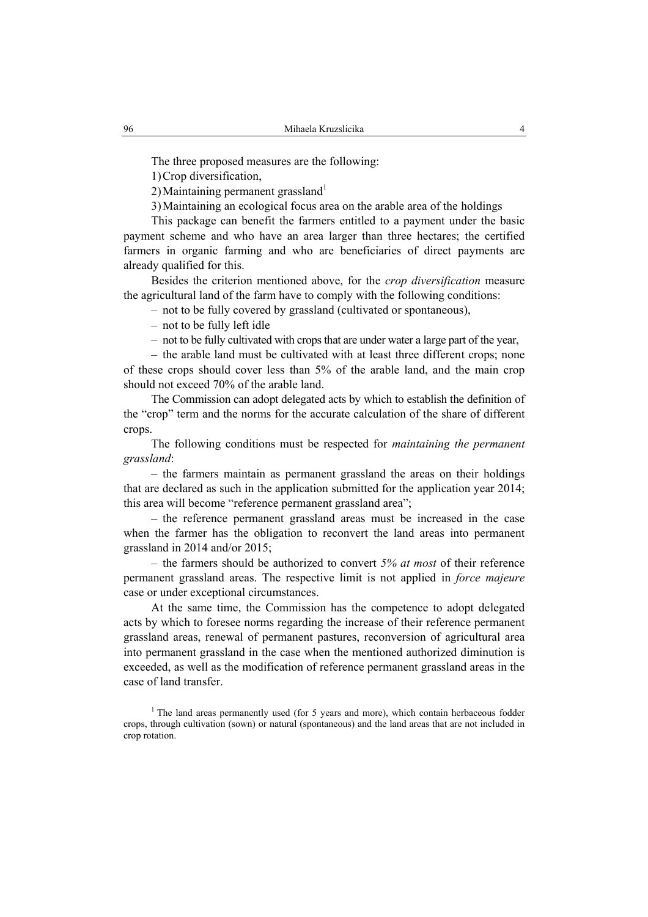The three proposed measures are the following:

1)Crop diversification,

2) Maintaining permanent grassland $1$ 

3)Maintaining an ecological focus area on the arable area of the holdings

This package can benefit the farmers entitled to a payment under the basic payment scheme and who have an area larger than three hectares; the certified farmers in organic farming and who are beneficiaries of direct payments are already qualified for this.

Besides the criterion mentioned above, for the *crop diversification* measure the agricultural land of the farm have to comply with the following conditions:

– not to be fully covered by grassland (cultivated or spontaneous),

- not to be fully left idle
- not to be fully cultivated with crops that are under water a large part of the year,

– the arable land must be cultivated with at least three different crops; none of these crops should cover less than 5% of the arable land, and the main crop should not exceed 70% of the arable land.

The Commission can adopt delegated acts by which to establish the definition of the "crop" term and the norms for the accurate calculation of the share of different crops.

The following conditions must be respected for *maintaining the permanent grassland*:

– the farmers maintain as permanent grassland the areas on their holdings that are declared as such in the application submitted for the application year 2014; this area will become "reference permanent grassland area";

– the reference permanent grassland areas must be increased in the case when the farmer has the obligation to reconvert the land areas into permanent grassland in 2014 and/or 2015;

– the farmers should be authorized to convert *5% at most* of their reference permanent grassland areas. The respective limit is not applied in *force majeure*  case or under exceptional circumstances.

At the same time, the Commission has the competence to adopt delegated acts by which to foresee norms regarding the increase of their reference permanent grassland areas, renewal of permanent pastures, reconversion of agricultural area into permanent grassland in the case when the mentioned authorized diminution is exceeded, as well as the modification of reference permanent grassland areas in the case of land transfer.

<sup>1</sup> The land areas permanently used (for 5 years and more), which contain herbaceous fodder crops, through cultivation (sown) or natural (spontaneous) and the land areas that are not included in crop rotation.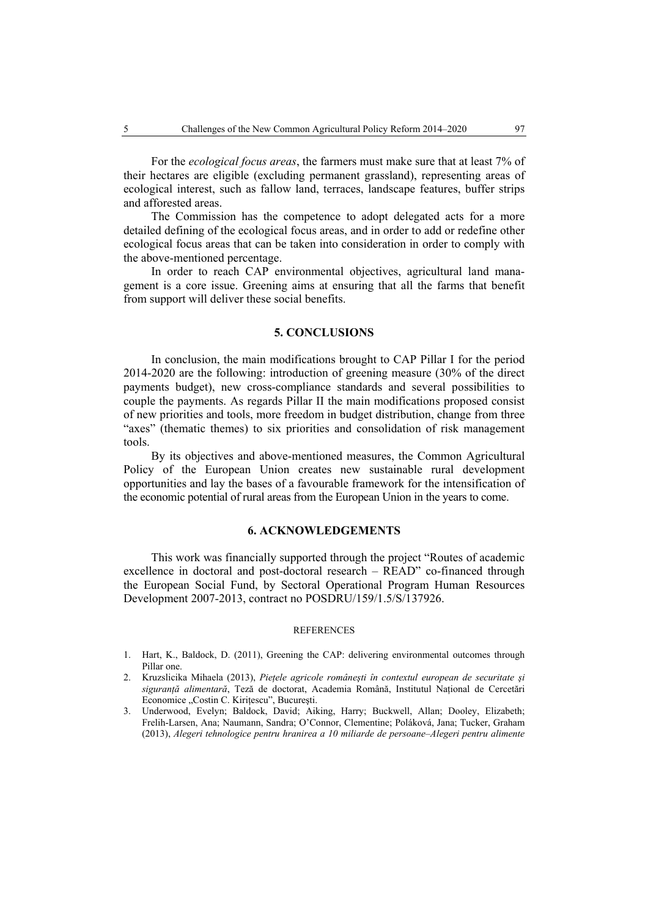For the *ecological focus areas*, the farmers must make sure that at least 7% of their hectares are eligible (excluding permanent grassland), representing areas of ecological interest, such as fallow land, terraces, landscape features, buffer strips and afforested areas.

The Commission has the competence to adopt delegated acts for a more detailed defining of the ecological focus areas, and in order to add or redefine other ecological focus areas that can be taken into consideration in order to comply with the above-mentioned percentage.

In order to reach CAP environmental objectives, agricultural land management is a core issue. Greening aims at ensuring that all the farms that benefit from support will deliver these social benefits.

#### **5. CONCLUSIONS**

In conclusion, the main modifications brought to CAP Pillar I for the period 2014-2020 are the following: introduction of greening measure (30% of the direct payments budget), new cross-compliance standards and several possibilities to couple the payments. As regards Pillar II the main modifications proposed consist of new priorities and tools, more freedom in budget distribution, change from three "axes" (thematic themes) to six priorities and consolidation of risk management tools.

By its objectives and above-mentioned measures, the Common Agricultural Policy of the European Union creates new sustainable rural development opportunities and lay the bases of a favourable framework for the intensification of the economic potential of rural areas from the European Union in the years to come.

## **6. ACKNOWLEDGEMENTS**

This work was financially supported through the project "Routes of academic excellence in doctoral and post-doctoral research – READ" co-financed through the European Social Fund, by Sectoral Operational Program Human Resources Development 2007-2013, contract no POSDRU/159/1.5/S/137926.

#### **REFERENCES**

- 1. Hart, K., Baldock, D. (2011), Greening the CAP: delivering environmental outcomes through Pillar one.
- 2. Kruzslicika Mihaela (2013), *Pieţele agricole româneşti în contextul european de securitate şi siguranţă alimentară*, Teză de doctorat, Academia Română, Institutul Naţional de Cercetări Economice "Costin C. Kiritescu", București.
- 3. Underwood, Evelyn; Baldock, David; Aiking, Harry; Buckwell, Allan; Dooley, Elizabeth; Frelih-Larsen, Ana; Naumann, Sandra; O'Connor, Clementine; Poláková, Jana; Tucker, Graham (2013), *Alegeri tehnologice pentru hranirea a 10 miliarde de persoane–Alegeri pentru alimente*